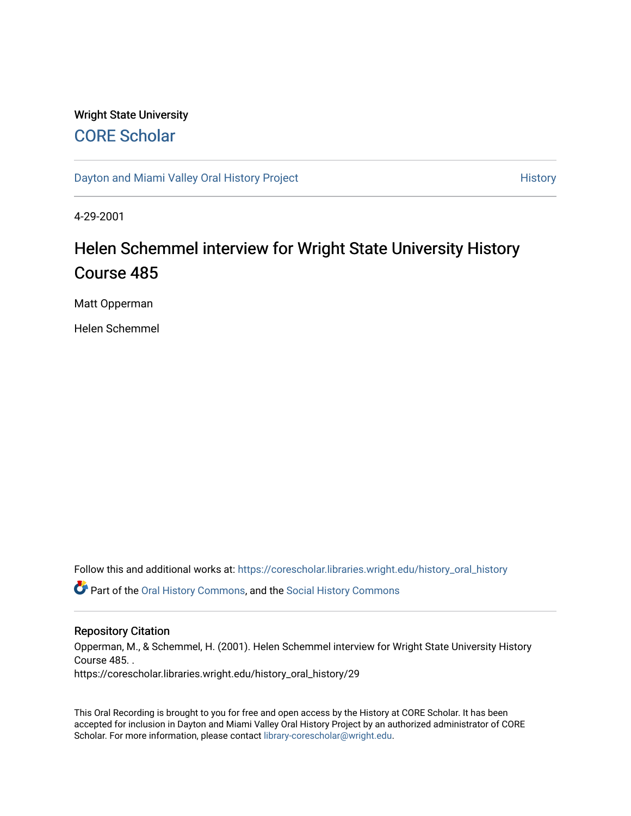# Wright State University [CORE Scholar](https://corescholar.libraries.wright.edu/)

[Dayton and Miami Valley Oral History Project](https://corescholar.libraries.wright.edu/history_oral_history) **History** History

4-29-2001

# Helen Schemmel interview for Wright State University History Course 485

Matt Opperman

Helen Schemmel

Follow this and additional works at: [https://corescholar.libraries.wright.edu/history\\_oral\\_history](https://corescholar.libraries.wright.edu/history_oral_history?utm_source=corescholar.libraries.wright.edu%2Fhistory_oral_history%2F29&utm_medium=PDF&utm_campaign=PDFCoverPages) 

Part of the [Oral History Commons](http://network.bepress.com/hgg/discipline/1195?utm_source=corescholar.libraries.wright.edu%2Fhistory_oral_history%2F29&utm_medium=PDF&utm_campaign=PDFCoverPages), and the [Social History Commons](http://network.bepress.com/hgg/discipline/506?utm_source=corescholar.libraries.wright.edu%2Fhistory_oral_history%2F29&utm_medium=PDF&utm_campaign=PDFCoverPages)

#### Repository Citation

Opperman, M., & Schemmel, H. (2001). Helen Schemmel interview for Wright State University History Course 485. . https://corescholar.libraries.wright.edu/history\_oral\_history/29

This Oral Recording is brought to you for free and open access by the History at CORE Scholar. It has been accepted for inclusion in Dayton and Miami Valley Oral History Project by an authorized administrator of CORE Scholar. For more information, please contact [library-corescholar@wright.edu](mailto:library-corescholar@wright.edu).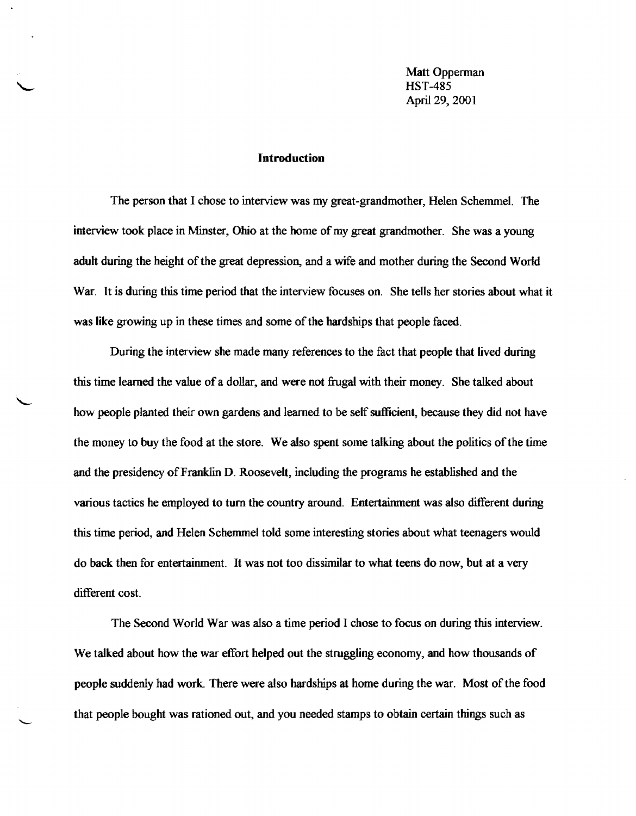Matt Opperman HST-485 April 29, 2001

#### Introduction

The person that I chose to interview was my great-grandmother, Helen Schemmel. The interview took place in Minster, Ohio at the home of my great grandmother. She was a young adult during the height of the great depression, and a wife and mother during the Second World War. It is during this time period that the interview focuses on. She tells her stories about what it was like growing up in these times and some of the hardships that people faced.

During the interview she made many references to the fact that people that lived during this time learned the value of a dollar, and were not frugal with their money. She talked about how people planted their own gardens and learned to be self sufficient, because they did not have the money to buy the food at the store. We also spent some talking about the politics of the time and the presidency of Franklin D. Roosevelt, including the programs he established and the various tactics he employed to tum the country around. Entertainment was also different during this time period, and Helen Schemmel told some interesting stories about what teenagers would do back then for entertainment. It was not too dissimilar to what teens do now, but at a very different cost.

The Second World War was also a time period I chose to focus on during this interview. We talked about how the war effort helped out the struggling economy, and how thousands of people suddenly had work. There were also hardships at home during the war. Most ofthe food that people bought was rationed out, and you needed stamps to obtain certain things such as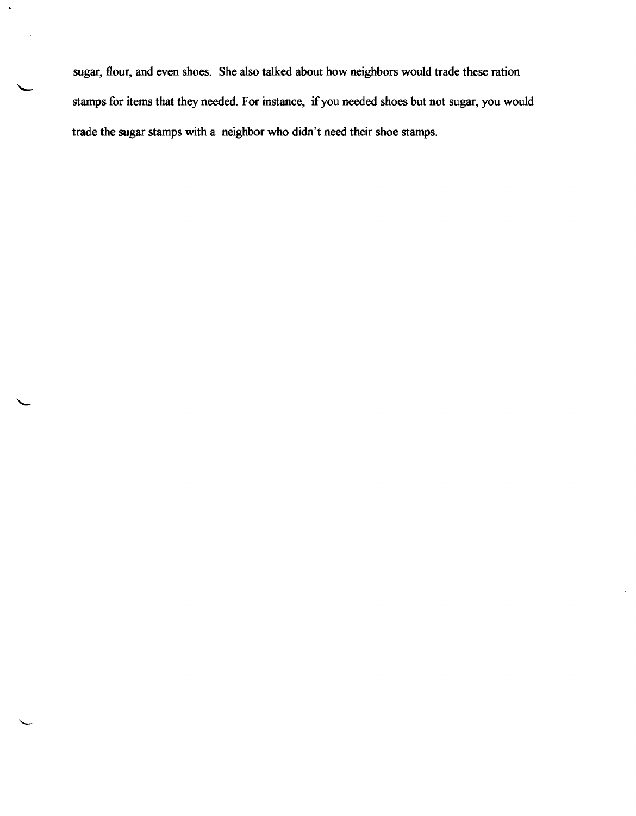sugar, flour, and even shoes. She also talked about how neighbors would trade these ration stamps for items that they needed. For instance, if you needed shoes but not sugar, you would trade the sugar stamps with a neighbor who didn't need their shoe stamps.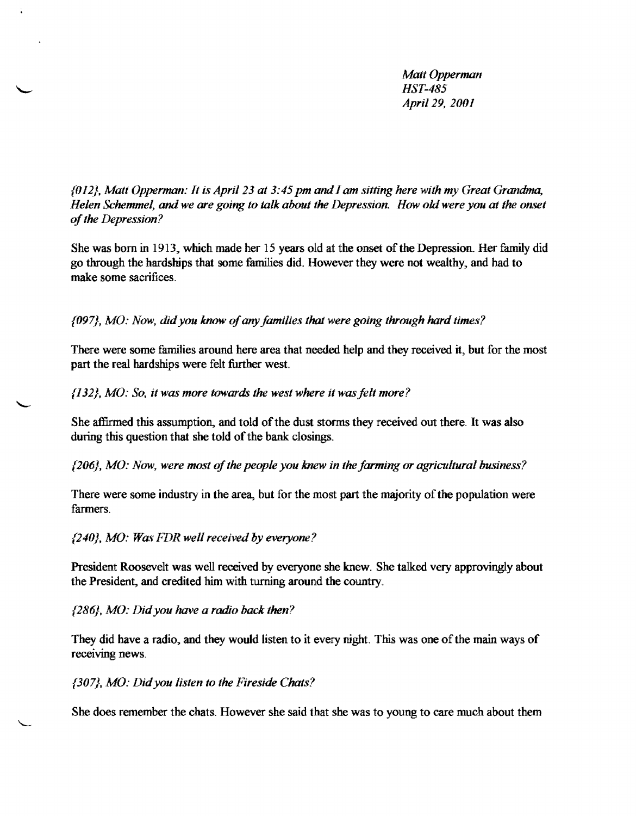*Matt Opperman HST-485 April* 29, *2001* 

*{OI2}, Matt Opperman: It is April* 23 *at* 3:45 *pm andI am sitting here with my Great Gratldma, Helen Schemmel,* and*we are going to talk about the Depression. How old were* you *at the onset ofthe Depression?* 

She was born in 1913, which made her 15 years old at the onset of the Depression. Her family did go through the hardships that some families did. However they were not wealthy, and had to make some sacrifices.

*{097}, MO: Now, didyou* know *of*any*families that were going through hard times?* 

There were some families around here area that needed help and they received it, but for the most part the real hardships were felt further west.

*{I*32 }, *MO: So, it was more towards the west where it wasfelt more?* 

She affirmed this assumption, and told of the dust storms they received out there. It was also during this question that she told of the bank closings.

 $\{206\}$ , MO: Now, were most of the people you knew in the farming or agricultural business?

There were some industry in the area, but for the most part the majority of the population were farmers.

*{240}. MO: Was FDR well received by everyone?* 

President Roosevelt was well received by everyone she knew. She talked very approvingly about the President, and credited him with turning around the country.

{286}. *MO: Didyou have a radio back then?* 

They did have a radio, and they would listen to it every night. This was one ofthe main ways of receiving news.

*{307}•.MO: Did*you *listen to the Fireside Chats?* 

She does remember the chats. However she said that she was to young to care much about them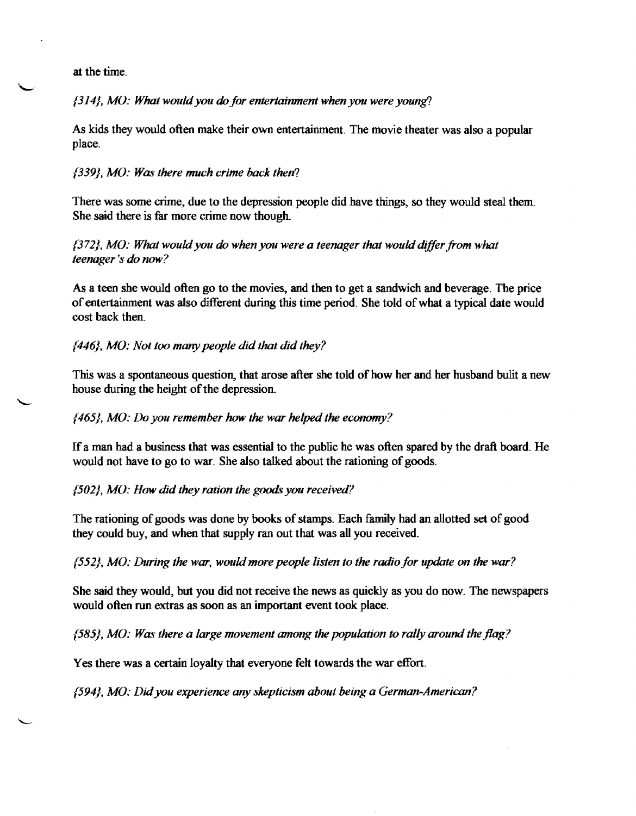at the time.

{314}, MO: What would you do for entertainment when you were young?

As kids they would often make their own entertainment. The movie theater was also a popular place.

### {339}, *MO: Was there much crime back then?*

There was some crime, due to the depression people did have things, so they would steal them. She said there is far more crime now though.

# {372}, *MO: What would*you *do when*you *were a teenager that would differ from what teenager's do now?*

As a teen she would often go to the movies, and then to get a sandwich and beverage. The price of entertainment was also different during this time period. She told of what a typical date would cost back then.

# {446}, *MO: Not too manypeople did that did they?*

This was a spontaneous question, that arose after she told of how her and her husband bulit a new house during the height of the depression.

# {465}, *MO:* Do *you remember how the war helped the economy?*

Ifa man had a business that was essential to the public he was often spared by the draft board. He would not have to go to war. She also talked about the rationing of goods.

# *{502}. MO: How did they ration the goods you received?*

The rationing of goods was done by books of stamps. Each family had an allotted set of good they could buy. and when that supply ran out that was all you received.

# {552}, *MO: During the war, wouldmore people listen to the radio for update on* the *war?*

She said they would, but you did not receive the news as quickly as you do now. The newspapers would often run extras as soon as an important event took place.

{585}, *MO: Was there a large movement among the population to rally around the flag?* 

Yes there was a certain loyalty that everyone felt towards the war effort.

{594}, *MO: Didyou experience any skepticism about being a German-American?*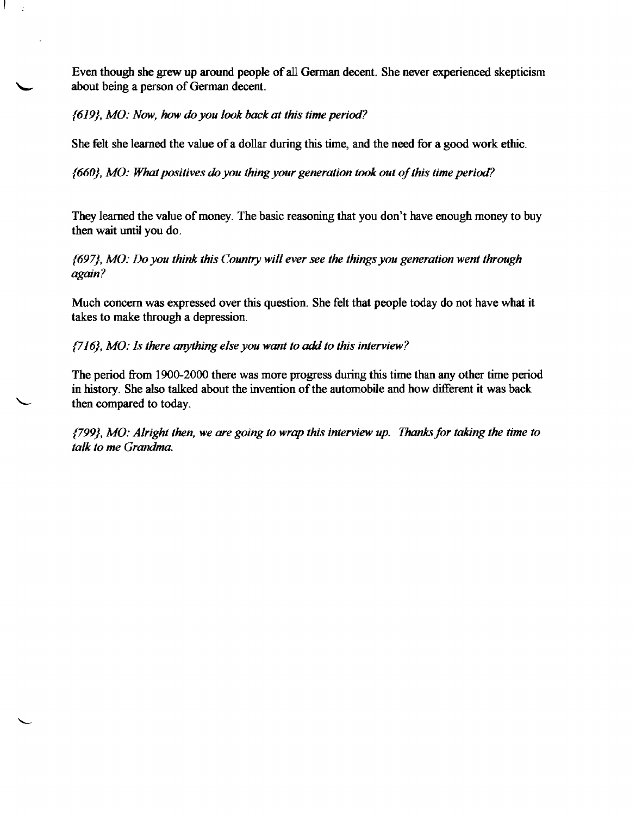Even though she grew up around people of all German decent. She never experienced skepticism about being a person of German decent.

{619}, *MO: Now, how do you look back* at *this time period?* 

She felt she learned the value of a dollar during this time, and the need for a good work ethic.

*{660}, MO: What positives do you thing your generation took out C!fthis time period?* 

They learned the value of money. The basic reasoning that you don't have enough money to buy then wait until you do.

{697}, *MO: Do you think this Country will ever see the things you generation went through again?* 

Much concern was expressed over this question. She felt that people today do not have what it takes to make through a depression.

{716}, *MO: Is there anything else you wam to* add *to this interview?* 

The period from 1900-2000 there was more progress during this time than any other time period in history. She also talked about the invention of the automobile and how different it was back then compared to today.

{799}, *MO: Alright then, we are going to wrap this interview up. Thanks/or taking the time to talk to me Grandma.*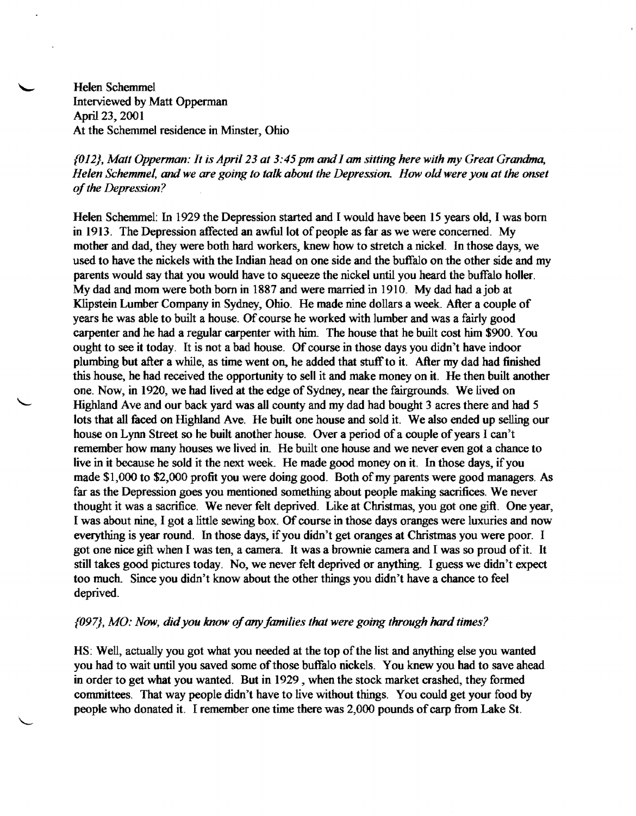Helen Schemmel Interviewed by Matt Opperman April 23, 2001 At the Schemmel residence in Minster, Ohio

# *{OI2}, Matt Opperman: It is April* 23 *at 3:45pm andI am sitting herewith my Great Grandma, Helen &hemmel, and we are going to talk about the Depression How oldwere you at the onset*  of the Depression?

Helen Schemmel: In 1929 the Depression started and I would have been 15 years old, I was born in 1913. The Depression affected an awful lot of people as far as we were concerned. My mother and dad, they were both hard workers, knew how to stretch a nickel. In those days, we used to have the nickels with the Indian head on one side and the buffalo on the other side and my parents would say that you would have to squeeze the nickel until you heard the buffalo holler. My dad and mom were both born in 1887 and were married in 1910. My dad had ajob at Klipstein Lumber Company in Sydney, Ohio. He made nine dollars a week After a couple of years he was able to built a house. Of course he worked with lumber and was a fairly good carpenter and he had a regular carpenter with him. The house that he built cost him \$900. You ought to see it today. It is not a bad house. Of course in those days you didn't have indoor plumbing but after a while, as time went on, he added that stuff to it. After my dad had finished this house, he had received the opportunity to sell it and make money on it. He then built another one. Now, in 1920, we had lived at the edge of Sydney, near the fairgrounds. We lived on Highland Ave and our back yard was all county and my dad had bought 3 acres there and had 5 lots that all faced on Highland Ave. He built one house and sold it. We also ended up selling our house on Lynn Street so he built another house. Over a period of a couple of years I can't remember how many houses we lived in. He built one house and we never even got a chance to live in it because he sold it the next week. He made good money on it. In those days, if you made \$1,000 to \$2,000 profit you were doing good. Both of my parents were good managers. As far as the Depression goes you mentioned something about people making sacrifices. We never thought it was a sacrifice. We never felt deprived. Like at Christmas, you got one gift. One year, I was about nine, I got a little sewing box. Of course in those days oranges were luxuries and now everything is year round. In those days, if you didn't get oranges at Christmas you were poor. I got one nice gift when I was ten, a camera. It was a brownie camera and I was so proud ofit. It still takes good pictures today. No, we never felt deprived or anything. I guess we didn't expect too much. Since you didn't know about the other things you didn't have a chance to feel deprived.

#### *{097}, MO: Now, didyou know ofanyfamilies that were going through hard times?*

HS: Well, actually you got what you needed at the top of the list and anything else you wanted you had to wait until you saved some of those buffalo nickels. You knew you had to save ahead in order to get what you wanted. But in 1929 , when the stock market crashed, they fonned committees. That way people didn't have to live without things. You could get your food by people who donated it. I remember one time there was 2,000 pounds of carp from Lake St.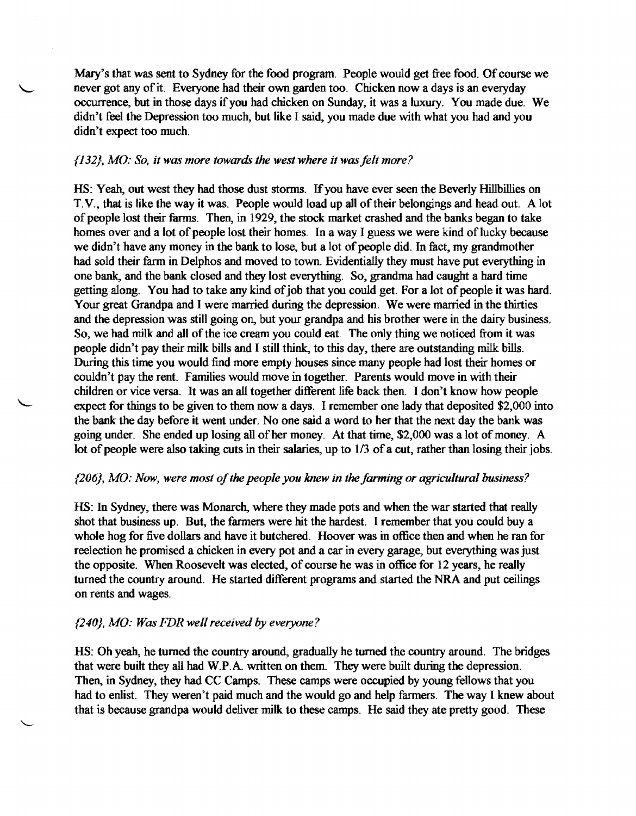Mary's that was sent to Sydney for the food program. People would get free food. Of course we never got any of it. Everyone had their own garden too. Chicken now a days is an everyday occurrence, but in those days ifyou had chicken on Sunday, it was a luxury. You made due. We didn't feel the Depression too much, but like I said, you made due with what you had and you didn't expect too much.

#### *{132}, MO: So, it was more towards the west where it was felt more?*

HS: Yeah, out west they had those dust storms. If you have ever seen the Beverly Hillbillies on T.V., that is like the way it was. People would load up all of their belongings and head out. A lot of people lost their farms. Then, in 1929, the stock market crashed and the banks began to take homes over and a lot of people lost their homes. In a way I guess we were kind of lucky because we didn't have any money in the bank to lose, but a lot of people did. In fact, my grandmother had sold their farm in Delphos and moved to town. Evidentially they must have put everything in one bank, and the bank closed and they lost everything. So, grandma had caught a hard time getting along. You had to take any kind of job that you could get. For a lot of people it was hard. Your great Grandpa and I were married during the depression. We were married in the thirties and the depression was still going on, but your grandpa and his brother were in the dairy business. So, we had milk and all of the ice cream you could eat. The only thing we noticed from it was people didn't pay their milk bills and I still think, to this day, there are outstanding milk bills. During this time you would find more empty houses since many people had lost their homes or couldn't pay the rent. Families would move in together. Parents would move in with their children or vice versa. It was an all together different life back then. I don't know how people expect for things to be given to them now a days. I remember one lady that deposited \$2,000 into the bank the day before it went under. No one said a word to her that the next day the bank was going under. She ended up losing all of her money. At that time, \$2,000 was a lot of money. A lot of people were also taking cuts in their salaries, up to  $1/3$  of a cut, rather than losing their jobs.

#### *{206}. MO: Now, were most ofthe people you knew in the farming or agricultural business?*

HS: In Sydney, there was Monarch, where they made pots and when the war started that really shot that business up. But, the farmers were hit the hardest. I remember that you could buy a whole hog for five dollars and have it butchered. Hoover was in office then and when he ran for reelection he promised a chicken in every pot and a car in every garage, but everything was just the opposite. When Roosevelt was elected, of course he was in office for 12 years, he really turned the country around. He started different programs and started the NRA and put ceilings on rents and wages.

#### *{240}. MO: Was FDR wellreceived by everyone?*

HS: Oh yeah, he turned the country around, gradually he turned the country around. The bridges that were built they all had W.P.A. written on them. They were built during the depression. Then, in Sydney, they had CC Camps. These camps were occupied by young fellows that you had to enlist. They weren't paid much and the would go and help farmers. The way I knew about that is because grandpa would deliver milk to these camps. He said they ate pretty good. These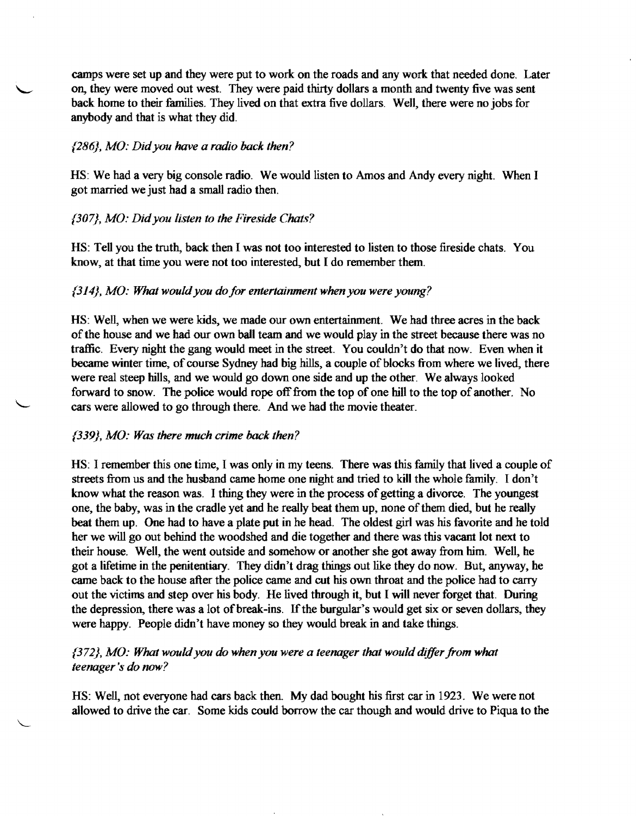camps were set up and they were put to work on the roads and any work that needed done. Later on, they were moved out west. They were paid thirty dollars a month and twenty five was sent back home to their families. They lived on that extra five dollars. Well, there were no jobs for anybody and that is what they did.

#### {286}, *MO: Didyou have a radio back then?*

HS: We had a very big console radio. We would listen to Amos and Andy every night. When I got married we just had a small radio then.

# *{307}, MO: Didyou listen to the Fireside Chats?*

HS: Tell you the truth, back then I was not too interested to listen to those fireside chats. You know, at that time you were not too interested, but I do remember them.

#### {314}, *MO:* What *wouldyou do for entertainment when you were young?*

HS: Well, when we were kids, we made our own entertainment. We had three acres in the back of the house and we had our own ball team and we would play in the street because there was no traffic. Every night the gang would meet in the street. You couldn't do that now. Even when it became winter time, of course Sydney had big hills, a couple of blocks from where we lived, there were real steep hills, and we would go down one side and up the other. We always looked forward to snow. The police would rope off from the top of one hill to the top of another. No cars were allowed to go through there. And we had the movie theater.

#### {339}, *MO: Was there much crime back then?*

HS: I remember this one time, I was only in my teens. There was this family that lived a couple of streets from us and the husband came home one night and tried to kill the whole family. I don't know what the reason was. I thing they were in the process of getting a divorce. The youngest one, the baby, was in the cradle yet and he really beat them up, none of them died, but he really beat them up. One had to have a plate put in he head. The oldest girl was his favorite and he told her we will go out behind the woodshed and die together and there was this vacant lot next to their house. Well, the went outside and somehow or another she got away from him. Well, he got a lifetime in the penitentiary. They didn't drag things out like they do now. But, anyway, he came back to the house after the police came and cut his own throat and the police had to carry out the victims and step over his body. He lived through it, but I will never forget that. During the depression, there was a lot of break-ins. If the burgular's would get six or seven dollars, they were happy. People didn't have money so they would break in and take things.

# {372}, MO: What would you do when you were a teenager that would differ from what *teenager* '8 *do now?*

HS: Well, not everyone had cars back then. My dad bought his first car in 1923. We were not allowed to drive the car. Some kids could borrow the car though and would drive to Piqua to the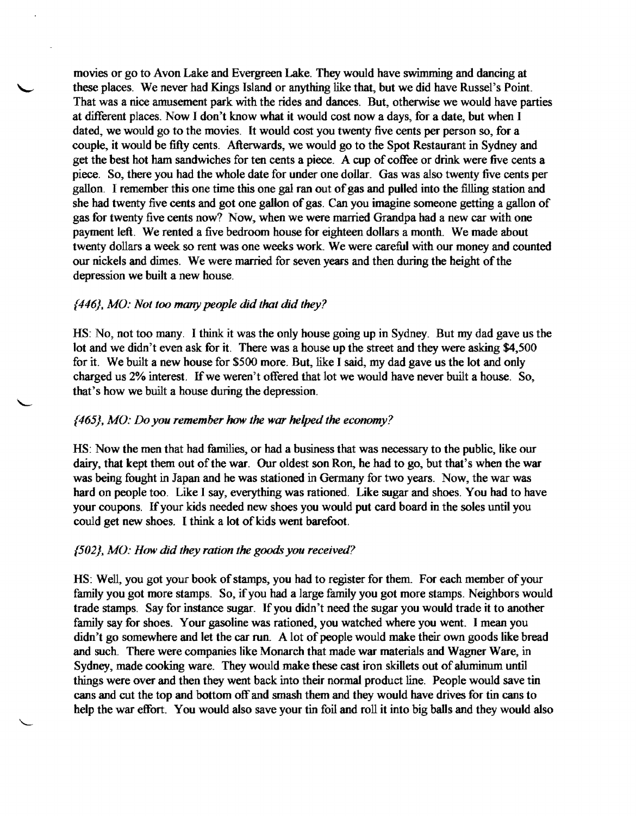movies or go to Avon Lake and Evergreen Lake. They would have swimming and dancing at these places. We never had Kings Island or anything like that, but we did have Russel's Point. That was a nice amusement park with the rides and dances. But, otherwise we would have parties at different places. Now I don't know what it would cost nowadays, for a date, but when I dated, we would go to the movies. It would cost you twenty five cents per person so, for a couple, it would be fifty cents. Afterwards, we would go to the Spot Restaurant in Sydney and get the best hot ham sandwiches for ten cents a piece. A cup of coffee or drink were five cents a piece. So, there you had the whole date for under one dollar. Gas was also twenty five cents per gallon. I remember this one time this one gal ran out of gas and pulled into the filling station and she had twenty five cents and got one gallon of gas. Can you imagine someone getting a gallon of gas for twenty five cents now? Now, when we were married Grandpa had a new car with one payment left. We rented a five bedroom house for eighteen dollars a month. We made about twenty dollars a week so rent was one weeks work. We were careful with our money and counted our nickels and dimes. We were married for seven years and then during the height of the depression we built a new house.

#### (446). *MO: Not too manypeople did that did they?*

HS: No, not too many. I think it was the only house going up in Sydney. But my dad gave us the lot and we didn't even ask for it. There was a house up the street and they were asking \$4,500 for it. We built a new house for \$500 more. But, like I said, my dad gave us the lot and only charged us 2% interest. If we weren't offered that lot we would have never built a house. So, that's how we built a house during the depression.

#### (465). *MO: Do you remember* how *the war helped the economy?*

HS: Now the men that had families, or had a business that was necessary to the public, like our dairy, that kept them out of the war. Our oldest son Ron, he had to go, but that's when the war was being fought in Japan and he was stationed in Germany for two years. Now, the war was hard on people too. Like I say, everything was rationed, Like sugar and shoes. You had to have your coupons. Ifyour kids needed new shoes you would put card board in the soles until you could get new shoes. I think a lot of kids went barefoot.

#### *(502). MO: How did they ration the goods* you *received?*

HS: Well, you got your book of stamps, you had to register for them. For each member of your family you got more stamps. So, if you had a large family you got more stamps. Neighbors would trade stamps. Say for instance sugar. If you didn't need the sugar you would trade it to another family say for shoes. Your gasoline was rationed, you watched where you went. I mean you didn't go somewhere and let the car run. A lot of people would make their own goods like bread and such. There were companies like Monarch that made war materials and Wagner Ware, in Sydney, made cooking ware. They would make these cast iron skillets out of aluminum until things were over and then they went back into their normal product line. People would save tin cans and cut the top and bottom off and smash them and they would have drives for tin cans to help the war effort. You would also save your tin foil and roll it into big balls and they would also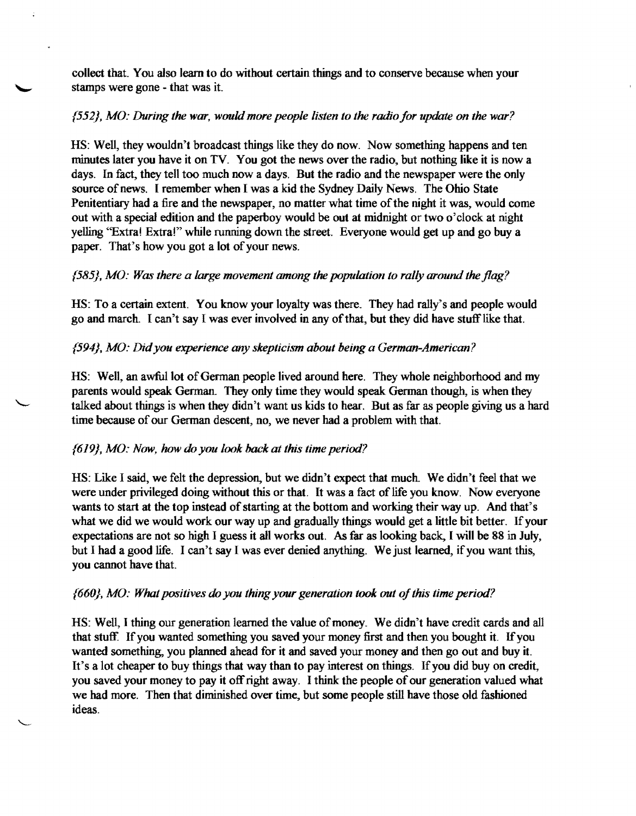collect that. You also learn to do without certain things and to conserve because when your stamps were gone - that was it.

# {552}, *MO: During the war, wuuld more people listen to the radio for update on the war?*

HS: Well, they wouldn't broadcast things like they do now. Now something happens and ten minutes later you have it on TV. You got the news over the radio, but nothing like it is now a days. In fact, they tell too much now a days. But the radio and the newspaper were the only source of news. I remember when I was a kid the Sydney Daily News. The Ohio State Penitentiary had a fire and the newspaper, no matter what time of the night it was, would come out with a special edition and the paperboy would be out at midnight or two o'clock at night yelling "Extra! Extra!" while running down the street. Everyone would get up and go buy a paper. That's how you got a lot of your news.

# {585}, *MO: Was there a large movement among the population to rally around the flag?*

HS: To a certain extent. You know your loyalty was there. They had rally's and people would go and march. I can't say I was ever involved in any of that, but they did have stuff like that.

# {594}, *MO: Didyou experience any skepticism about being a German-American?*

HS: Well, an awful lot of German people lived around here. They whole neighborhood and my parents would speak German. They only time they would speak German though, is when they talked about things is when they didn't want us kids to hear. But as far as people giving us a hard time because of our German descent, no, we never had a problem with that.

# {619}. *MO: Now, how do you look hack at this time period?*

HS: Like I said, we felt the depression, but we didn't expect that much. We didn't feel that we were under privileged doing without this or that. It was a fact of life you know. Now everyone wants to start at the top instead of starting at the bottom and working their way up. And that's what we did we would work our way up and gradually things would get a little bit better. If your expectations are not so high I guess it all works out. As far as looking back, I will be 88 in July, but I had a good life. I can't say I was ever denied anything. We just learned, if you want this, you cannot have that.

# *{660}. MO: What positives do*you *thingyuur generation took uut ofthis time period?*

HS: Well, I thing our generation learned the value of money. We didn't have credit cards and all that stuff. If you wanted something you saved your money first and then you bought it. If you wanted something, you planned ahead for it and saved your money and then go out and buy it. It's a lot cheaper to buy things that way than to pay interest on things. If you did buy on credit, you saved your money to pay it off right away. I think the people of our generation valued what we had more. Then that diminished over time, but some people still have those old fashioned ideas.